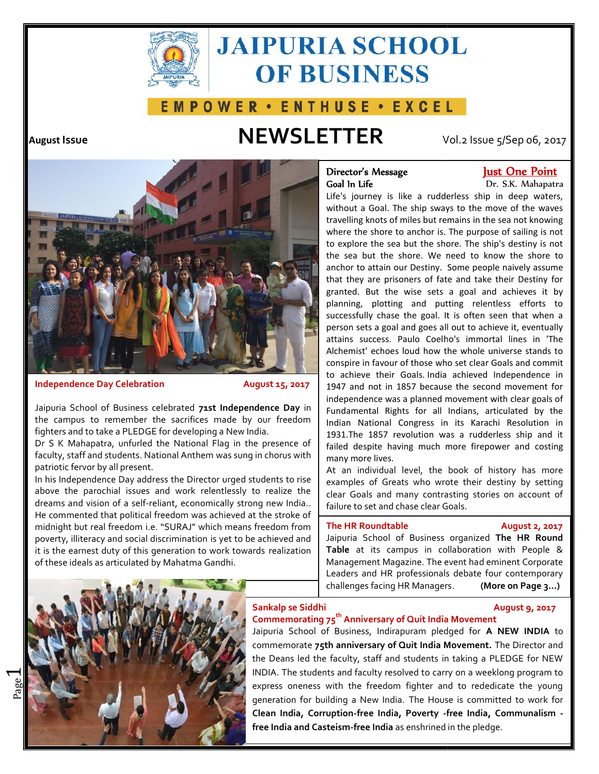

# **JAIPURIA SCHOOL OF BUSINESS**

# **EMPOWER · ENTHUSE · EXCEL**

# **August Issue NEWSLETTER** Vol.2 Issue 5/Sep 06, 2017



**Independence Day Celebration August 15, 2017**

Jaipuria School of Business celebrated **71st Independence Day** in the campus to remember the sacrifices made by our freedom fighters and to take a PLEDGE for developing a New India.

Dr S K Mahapatra, unfurled the National Flag in the presence of faculty, staff and students. National Anthem was sung in chorus with patriotic fervor by all present.

In his Independence Day address the Director urged students to rise above the parochial issues and work relentlessly to realize the dreams and vision of a self-reliant, economically strong new India.. He commented that political freedom was achieved at the stroke of above the parochial issues and work relentlessly to realize the clear Goals<br>dreams and vision of a self-reliant, economically strong new India...<br>He commented that political freedom was achieved at the stroke of midnight b poverty, illiteracy and social discrimination is yet to be achieved and it is the earnest duty of this generation to work towards realization of these ideals as articulated by Mahatma Gandhi. Dr S K Mahapatra, unfurled the National Flag in the presence of failed despite having much more firepower and mary the partiotic fervor by all present.<br>
In his Independence Day address the Director urged students to rise<br>

# Goal In Life

# **Director's Message Just One Point Director's**

Dr. S.K. Mahapatra Life's journey is like a rudderless ship in deep waters, without a Goal. The ship sways to the move of the waves travelling knots of miles but remains in the sea not knowing  $\|$ where the shore to anchor is. The purpose of sailing is not to explore the sea but the shore. The ship's destiny is not the sea but the shore. We need to know the shore to anchor to attain our Destiny. Some people naively assume that they are prisoners of fate and take their Destiny for granted. But the wise sets a goal and achieves it by planning, plotting and putting relentless efforts to successfully chase the goal. It is often seen that when a person sets a goal and goes all out to achieve it, eventually attains success. Paulo Coelho's immortal lines in 'The Alchemist' echoes loud how the whole universe stands to conspire in favour of those who set clear Goals and commit to achieve their Goals. India achieved Independence in 1947 and not in 1857 because the second movement for independence was a planned movement with clear goals of Fundamental Rights for all Indians, articulated by the Indian National Congress in its Karachi Resolution in 1931.The 1857 revolution was a rudderless ship and it failed despite having much more firepower and costing many more lives. Life's journey is like a rudderless ship in deep waters,<br>without a Goal. The ship sways to the move of the waves<br>travelling knots of miles but remains in the sea not knowing<br>where the shore to anchor is. The purpose of sai anchor to attain our Destiny. Some people naively assume<br>that they are prisoners of fate and take their Destiny for<br>granted. But the wise sets a goal and achieves it by<br>planning, plotting and putting relentless efforts to<br> interaction and to the species the sample in the sample the sample the sample the sample the sample the sample the sample the sample the sample the sample the sample the sample the sample the sample the sample the sample t

At an individual level, the book of history has more examples of Greats who wrote their destiny by setting clear Goals and many contrasting stories on account of failure to set and chase clear Goals.

### **The HR Roundtable August 2, 2017**

Jaipuria School of Business organized **The HR Round Table** at its campus in collaboration with People & Management Magazine. The event had eminent Corporate Leaders and HR professionals debate four contemporary challenges facing HR Managers. **(More on Page 3…)**



 $\overline{\phantom{0}}$ 

### **Sankalp se Siddhi August 9, 2017**

# **Commemorating 75th Anniversary of Quit India Movement**

Jaipuria School of Business, Indirapuram pledged for **A NEW INDIA** to commemorate **75th anniversary of Quit India Movement.** The Director and the Deans led the faculty, staff and students in taking a PLEDGE for NEW INDIA. The students and faculty resolved to carry on a weeklong program to express oneness with the freedom fighter and to rededicate the young generation for building a New India. The House is committed to work for **Clean India, Corruption-free India, Poverty -free India, Communalism free India and Casteism-free India** as enshrined in the pledge. **Siddhi<br>rating 75<sup>th</sup> Anniversary of Qu**<br>hool of Business, Indirapura<br>ate **75th anniversary of Quit** ed the faculty, staff and students in taking a PLEDGE for NEW<br>students and faculty resolved to carry on a weeklong program to<br>eness with the freedom fighter and to rededicate the young<br>for building a New India. The House i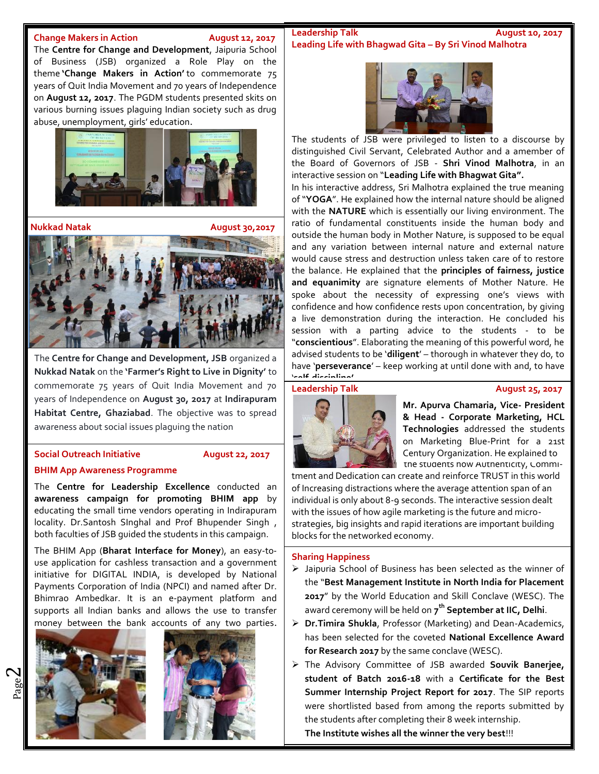The **Centre for Change and Development**, Jaipuria School of Business (JSB) organized a Role Play on the theme **'Change Makers in Action'** to commemorate 75 years of Quit India Movement and 70 years of Independence on **August 12, 2017**. The PGDM students presented skits on various burning issues plaguing Indian society such as drug abuse, unemployment, girls' education.



**Nukkad Natak August 30,2017**

The **Centre for Change and Development, JSB** organized a **Nukkad Natak** on the **'Farmer's Right to Live in Dignity'** to commemorate 75 years of Quit India Movement and 70 **Leadership Talk** years of Independence on **August 30, 2017** at **Indirapuram Habitat Centre, Ghaziabad**. The objective was to spread awareness about social issues plaguing the nation

## **Social Outreach Initiative August 22, 2017**

# **BHIM App Awareness Programme**

The **Centre for Leadership Excellence** conducted an **awareness campaign for promoting BHIM app** by educating the small time vendors operating in Indirapuram locality. Dr.Santosh SInghal and Prof Bhupender Singh , both faculties of JSB guided the students in this campaign.

The BHIM App (**Bharat Interface for Money**), an easy-to use application for cashless transaction and a government initiative for DIGITAL INDIA, is developed by National Payments Corporation of India (NPCI) and named after Dr. Bhimrao Ambedkar. It is an e-payment platform and supports all Indian banks and allows the use to transfer money between the bank accounts of any two parties.



 $\boldsymbol{\sim}$ 



### **Change Makers in Action August 12, 2017 Leadership Talk Leadership Talk August 10, 2017 Leading Life with Bhagwad Gita – By Sri Vinod Malhotra**



The students of JSB were privileged to listen to a discourse by distinguished Civil Servant, Celebrated Author and a amember of the Board of Governors of JSB - **Shri Vinod Malhotra**, in an interactive session on "**Leading Life with Bhagwat Gita".**

In his interactive address, Sri Malhotra explained the true meaning of "**YOGA**". He explained how the internal nature should be aligned with the **NATURE** which is essentially our living environment. The ratio of fundamental constituents inside the human body and outside the human body in Mother Nature, is supposed to be equal and any variation between internal nature and external nature would cause stress and destruction unless taken care of to restore the balance. He explained that the **principles of fairness, justice and equanimity** are signature elements of Mother Nature. He spoke about the necessity of expressing one's views with confidence and how confidence rests upon concentration, by giving a live demonstration during the interaction. He concluded his session with a parting advice to the students - to be "**conscientious**". Elaborating the meaning of this powerful word, he advised students to be '**diligent**' – thorough in whatever they do, to have '**perseverance**' – keep working at until done with and, to have '**self-discipline'**.

### **Leadership Talk August 25, 2017**



the students how Authenticity, Commi- **Mr. Apurva Chamaria, Vice- President & Head - Corporate Marketing, HCL Technologies** addressed the students on Marketing Blue-Print for a 21st Century Organization. He explained to

tment and Dedication can create and reinforce TRUST in this world of Increasing distractions where the average attention span of an individual is only about 8-9 seconds. The interactive session dealt with the issues of how agile marketing is the future and micro strategies, big insights and rapid iterations are important building blocks for the networked economy.

## **Sharing Happiness**

- Jaipuria School of Business has been selected as the winner of the "**Best Management Institute in North India for Placement 2017**" by the World Education and Skill Conclave (WESC). The award ceremony will be held on **7 th September at IIC, Delhi**.
- **Dr.Timira Shukla**, Professor (Marketing) and Dean-Academics, has been selected for the coveted **National Excellence Award for Research 2017** by the same conclave (WESC).
- The Advisory Committee of JSB awarded **Souvik Banerjee, student of Batch 2016-18** with a **Certificate for the Best Summer Internship Project Report for 2017**. The SIP reports were shortlisted based from among the reports submitted by the students after completing their 8 week internship.

**The Institute wishes all the winner the very best**!!!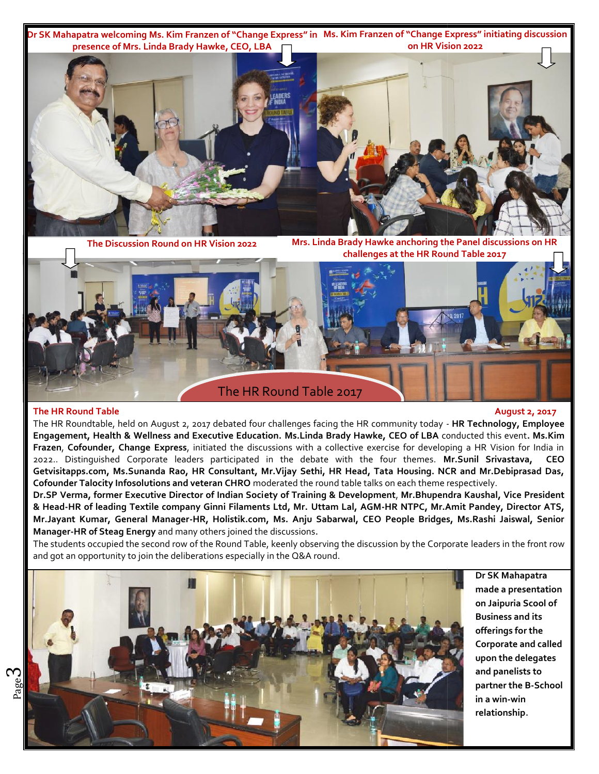**Dr SK Mahapatra welcoming Ms. Kim Franzen of "Change Express" in Ms. Kim Franzen of "Change Express" initiating discussion Dr"Change Express" inBrady Hawke, Franzen presence of Mrs. Linda Brady Hawke, CEO, LBA on HR Vision 2022**



**The Discussion Round on HR Vision 2022 Mrs. Linda Brady Hawke anchoring the Panel discussions on HR challenges at the HR Round Table 2017**



## **The HR Round Table August 2, 2017**

The HR Roundtable, held on August 2, 2017 debated four challenges facing the HR community today - **HR Technology, Employee Engagement, Health & Wellness and Executive Education. Ms.Linda Brady Hawke, CEO of LBA** conducted this event**. Ms.Kim Frazen**, **Cofounder, Change Express**, initiated the discussions with a collective exercise for developing a HR Vision for India in 2022.. Distinguished Corporate leaders participated in the debate with the four themes. **Mr.Sunil Srivastava, CEO Getvisitapps.com, Ms.Sunanda Rao, HR Consultant, Mr.Vijay Sethi, HR Head, Tata Housing. NCR and Mr.Debiprasad Das, Cofounder Talocity Infosolutions and veteran CHRO** moderated the round table talks on each theme respectively.

**Dr.SP Verma, former Executive Director of Indian Society of Training & Development**, **Mr.Bhupendra Kaushal, Vice President & Head-HR of leading Textile company Ginni Filaments Ltd, Mr. Uttam Lal, AGM-HR NTPC, Mr.Amit Pandey, Director ATS, Mr.Jayant Kumar, General Manager-HR, Holistik.com, Ms. Anju Sabarwal, CEO People Bridges, Ms.Rashi Jaiswal, Senior Manager-HR of Steag Energy** and many others joined the discussions. .ounder Talocity Infosolutions and veteran CHRO moderated the round table talks on each theme<br>iP Verma, former Executive Director of Indian Society of Training & Development, Mr.Bhupen<br>ead-HR of leading Textile company Ginn

The students occupied the second row of the Round Table, keenly observing the discussion by the Corporate leaders in the front row and got an opportunity to join the deliberations especially in the Q&A round.



**Dr SK Mahapatra made a presentation on Jaipuria Scool of Business and its offerings for the Corporate and called Corporate and upon the delegates and panelists to partner the B-School in a win-win relationship.**